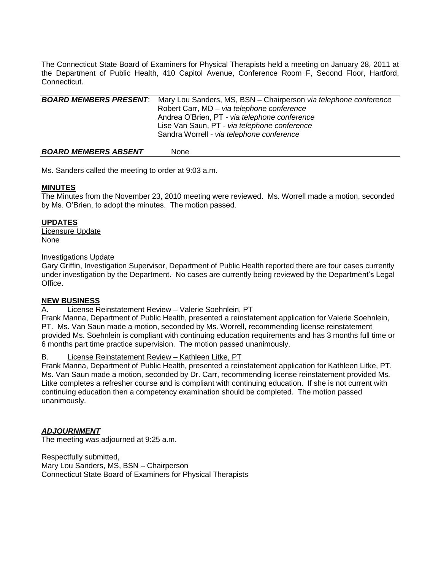The Connecticut State Board of Examiners for Physical Therapists held a meeting on January 28, 2011 at the Department of Public Health, 410 Capitol Avenue, Conference Room F, Second Floor, Hartford, Connecticut.

| <b>BOARD MEMBERS PRESENT:</b> | Mary Lou Sanders, MS, BSN - Chairperson via telephone conference |
|-------------------------------|------------------------------------------------------------------|
|                               | Robert Carr, MD - via telephone conference                       |
|                               | Andrea O'Brien, PT - via telephone conference                    |
|                               | Lise Van Saun, PT - via telephone conference                     |
|                               | Sandra Worrell - via telephone conference                        |
|                               |                                                                  |

#### **BOARD MEMBERS ABSENT** None

Ms. Sanders called the meeting to order at 9:03 a.m.

## **MINUTES**

The Minutes from the November 23, 2010 meeting were reviewed. Ms. Worrell made a motion, seconded by Ms. O'Brien, to adopt the minutes. The motion passed.

## **UPDATES**

Licensure Update None

## Investigations Update

Gary Griffin, Investigation Supervisor, Department of Public Health reported there are four cases currently under investigation by the Department. No cases are currently being reviewed by the Department's Legal Office.

# **NEW BUSINESS**

## A. License Reinstatement Review – Valerie Soehnlein, PT

Frank Manna, Department of Public Health, presented a reinstatement application for Valerie Soehnlein, PT. Ms. Van Saun made a motion, seconded by Ms. Worrell, recommending license reinstatement provided Ms. Soehnlein is compliant with continuing education requirements and has 3 months full time or 6 months part time practice supervision. The motion passed unanimously.

## B. License Reinstatement Review – Kathleen Litke, PT

Frank Manna, Department of Public Health, presented a reinstatement application for Kathleen Litke, PT. Ms. Van Saun made a motion, seconded by Dr. Carr, recommending license reinstatement provided Ms. Litke completes a refresher course and is compliant with continuing education. If she is not current with continuing education then a competency examination should be completed. The motion passed unanimously.

# *ADJOURNMENT*

The meeting was adjourned at 9:25 a.m.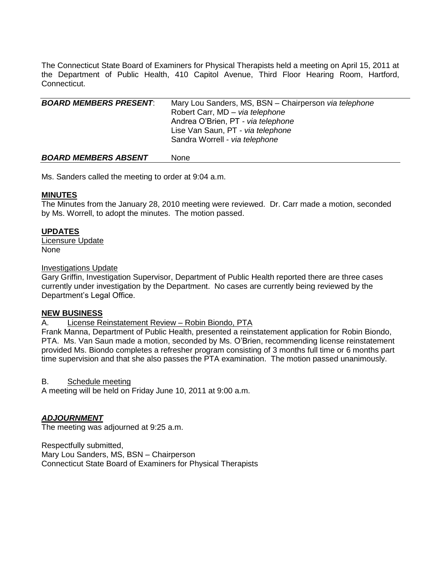The Connecticut State Board of Examiners for Physical Therapists held a meeting on April 15, 2011 at the Department of Public Health, 410 Capitol Avenue, Third Floor Hearing Room, Hartford, Connecticut.

| <b>BOARD MEMBERS PRESENT:</b> | Mary Lou Sanders, MS, BSN - Chairperson via telephone<br>Robert Carr, MD - via telephone<br>Andrea O'Brien, PT - via telephone<br>Lise Van Saun, PT - via telephone<br>Sandra Worrell - via telephone |
|-------------------------------|-------------------------------------------------------------------------------------------------------------------------------------------------------------------------------------------------------|
| <b>BOARD MEMBERS ABSENT</b>   | None                                                                                                                                                                                                  |

Ms. Sanders called the meeting to order at 9:04 a.m.

## **MINUTES**

The Minutes from the January 28, 2010 meeting were reviewed. Dr. Carr made a motion, seconded by Ms. Worrell, to adopt the minutes. The motion passed.

## **UPDATES**

Licensure Update None

#### Investigations Update

Gary Griffin, Investigation Supervisor, Department of Public Health reported there are three cases currently under investigation by the Department. No cases are currently being reviewed by the Department's Legal Office.

#### **NEW BUSINESS**

A. License Reinstatement Review - Robin Biondo, PTA

Frank Manna, Department of Public Health, presented a reinstatement application for Robin Biondo, PTA. Ms. Van Saun made a motion, seconded by Ms. O'Brien, recommending license reinstatement provided Ms. Biondo completes a refresher program consisting of 3 months full time or 6 months part time supervision and that she also passes the PTA examination. The motion passed unanimously.

B. Schedule meeting

A meeting will be held on Friday June 10, 2011 at 9:00 a.m.

## *ADJOURNMENT*

The meeting was adjourned at 9:25 a.m.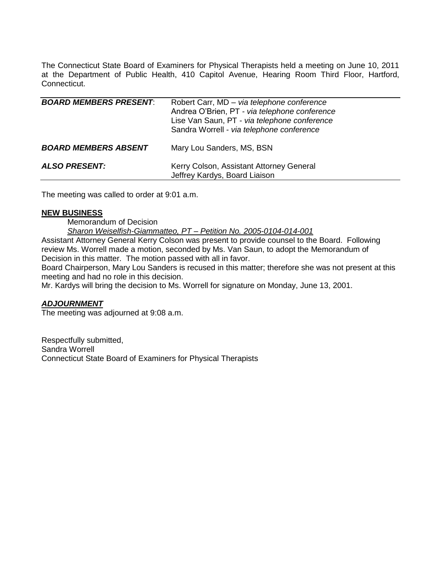The Connecticut State Board of Examiners for Physical Therapists held a meeting on June 10, 2011 at the Department of Public Health, 410 Capitol Avenue, Hearing Room Third Floor, Hartford, Connecticut.

| <b>BOARD MEMBERS PRESENT:</b> | Robert Carr, MD - via telephone conference<br>Andrea O'Brien, PT - via telephone conference<br>Lise Van Saun, PT - via telephone conference<br>Sandra Worrell - via telephone conference |
|-------------------------------|------------------------------------------------------------------------------------------------------------------------------------------------------------------------------------------|
| <b>BOARD MEMBERS ABSENT</b>   | Mary Lou Sanders, MS, BSN                                                                                                                                                                |
| <b>ALSO PRESENT:</b>          | Kerry Colson, Assistant Attorney General<br>Jeffrey Kardys, Board Liaison                                                                                                                |

The meeting was called to order at 9:01 a.m.

## **NEW BUSINESS**

Memorandum of Decision

*Sharon Weiselfish-Giammatteo, PT – Petition No. 2005-0104-014-001*

Assistant Attorney General Kerry Colson was present to provide counsel to the Board. Following review Ms. Worrell made a motion, seconded by Ms. Van Saun, to adopt the Memorandum of Decision in this matter. The motion passed with all in favor.

Board Chairperson, Mary Lou Sanders is recused in this matter; therefore she was not present at this meeting and had no role in this decision.

Mr. Kardys will bring the decision to Ms. Worrell for signature on Monday, June 13, 2001.

# *ADJOURNMENT*

The meeting was adjourned at 9:08 a.m.

Respectfully submitted, Sandra Worrell Connecticut State Board of Examiners for Physical Therapists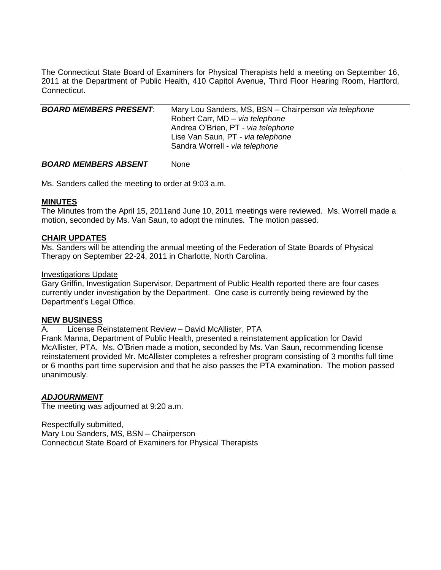The Connecticut State Board of Examiners for Physical Therapists held a meeting on September 16, 2011 at the Department of Public Health, 410 Capitol Avenue, Third Floor Hearing Room, Hartford, Connecticut.

| <b>BOARD MEMBERS PRESENT:</b> | Mary Lou Sanders, MS, BSN - Chairperson via telephone<br>Robert Carr, MD - via telephone<br>Andrea O'Brien, PT - via telephone<br>Lise Van Saun, PT - via telephone<br>Sandra Worrell - via telephone |
|-------------------------------|-------------------------------------------------------------------------------------------------------------------------------------------------------------------------------------------------------|
| <b>BOARD MEMBERS ABSENT</b>   | None                                                                                                                                                                                                  |

Ms. Sanders called the meeting to order at 9:03 a.m.

## **MINUTES**

The Minutes from the April 15, 2011and June 10, 2011 meetings were reviewed. Ms. Worrell made a motion, seconded by Ms. Van Saun, to adopt the minutes. The motion passed.

## **CHAIR UPDATES**

Ms. Sanders will be attending the annual meeting of the Federation of State Boards of Physical Therapy on September 22-24, 2011 in Charlotte, North Carolina.

## Investigations Update

Gary Griffin, Investigation Supervisor, Department of Public Health reported there are four cases currently under investigation by the Department. One case is currently being reviewed by the Department's Legal Office.

## **NEW BUSINESS**

A. License Reinstatement Review – David McAllister, PTA

Frank Manna, Department of Public Health, presented a reinstatement application for David McAllister, PTA. Ms. O'Brien made a motion, seconded by Ms. Van Saun, recommending license reinstatement provided Mr. McAllister completes a refresher program consisting of 3 months full time or 6 months part time supervision and that he also passes the PTA examination. The motion passed unanimously.

## *ADJOURNMENT*

The meeting was adjourned at 9:20 a.m.